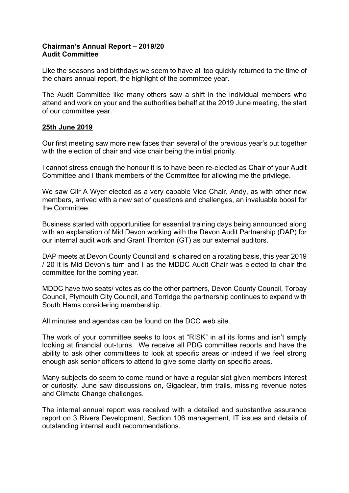## **Chairman's Annual Report – 2019/20 Audit Committee**

Like the seasons and birthdays we seem to have all too quickly returned to the time of the chairs annual report, the highlight of the committee year.

The Audit Committee like many others saw a shift in the individual members who attend and work on your and the authorities behalf at the 2019 June meeting, the start of our committee year.

## **25th June 2019**

Our first meeting saw more new faces than several of the previous year's put together with the election of chair and vice chair being the initial priority.

I cannot stress enough the honour it is to have been re-elected as Chair of your Audit Committee and I thank members of the Committee for allowing me the privilege.

We saw Cllr A Wyer elected as a very capable Vice Chair, Andy, as with other new members, arrived with a new set of questions and challenges, an invaluable boost for the Committee.

Business started with opportunities for essential training days being announced along with an explanation of Mid Devon working with the Devon Audit Partnership (DAP) for our internal audit work and Grant Thornton (GT) as our external auditors.

DAP meets at Devon County Council and is chaired on a rotating basis, this year 2019 / 20 it is Mid Devon's turn and I as the MDDC Audit Chair was elected to chair the committee for the coming year.

MDDC have two seats/ votes as do the other partners, Devon County Council, Torbay Council, Plymouth City Council, and Torridge the partnership continues to expand with South Hams considering membership.

All minutes and agendas can be found on the DCC web site.

The work of your committee seeks to look at "RISK" in all its forms and isn't simply looking at financial out-turns. We receive all PDG committee reports and have the ability to ask other committees to look at specific areas or indeed if we feel strong enough ask senior officers to attend to give some clarity on specific areas.

Many subjects do seem to come round or have a regular slot given members interest or curiosity. June saw discussions on, Gigaclear, trim trails, missing revenue notes and Climate Change challenges.

The internal annual report was received with a detailed and substantive assurance report on 3 Rivers Development, Section 106 management, IT issues and details of outstanding internal audit recommendations.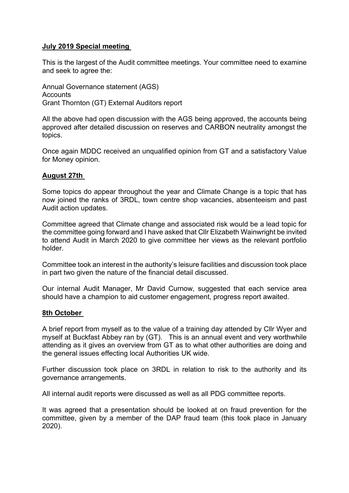# **July 2019 Special meeting**

This is the largest of the Audit committee meetings. Your committee need to examine and seek to agree the:

Annual Governance statement (AGS) **Accounts** Grant Thornton (GT) External Auditors report

All the above had open discussion with the AGS being approved, the accounts being approved after detailed discussion on reserves and CARBON neutrality amongst the topics.

Once again MDDC received an unqualified opinion from GT and a satisfactory Value for Money opinion.

## **August 27th**

Some topics do appear throughout the year and Climate Change is a topic that has now joined the ranks of 3RDL, town centre shop vacancies, absenteeism and past Audit action updates.

Committee agreed that Climate change and associated risk would be a lead topic for the committee going forward and I have asked that Cllr Elizabeth Wainwright be invited to attend Audit in March 2020 to give committee her views as the relevant portfolio holder.

Committee took an interest in the authority's leisure facilities and discussion took place in part two given the nature of the financial detail discussed.

Our internal Audit Manager, Mr David Curnow, suggested that each service area should have a champion to aid customer engagement, progress report awaited.

## **8th October**

A brief report from myself as to the value of a training day attended by Cllr Wyer and myself at Buckfast Abbey ran by (GT). This is an annual event and very worthwhile attending as it gives an overview from GT as to what other authorities are doing and the general issues effecting local Authorities UK wide.

Further discussion took place on 3RDL in relation to risk to the authority and its governance arrangements.

All internal audit reports were discussed as well as all PDG committee reports.

It was agreed that a presentation should be looked at on fraud prevention for the committee, given by a member of the DAP fraud team (this took place in January 2020).